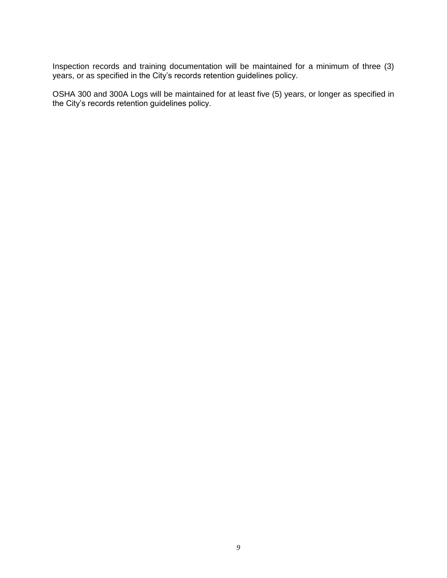## **City of Dixon**

# **INJURY AND ILLNESS PREVENTION PROGRAM**

Revised August 2020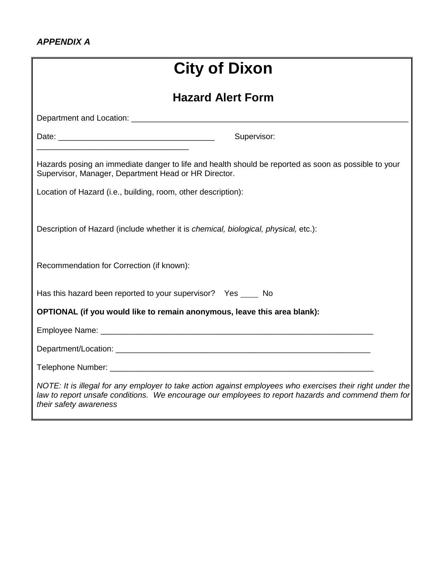### **TABLE OF CONTENTS**

| $\mathbb{R}^n$ |  |
|----------------|--|
| $\Pi$ .        |  |
| III.           |  |
| IV.            |  |
| $V_{\cdot}$    |  |
| VI.            |  |
| VII.           |  |
| VIII.          |  |

#### **APPENDICES**

- A. Hazard Alert Form
- B. Hazard Response Form
- C. Hazard/Workplace Inspection Schedule
- D. Incident Investigation Form
- E. Supervisor's Incident Report
- F. Employee's Report Injury Form
- G. Witness Statement Form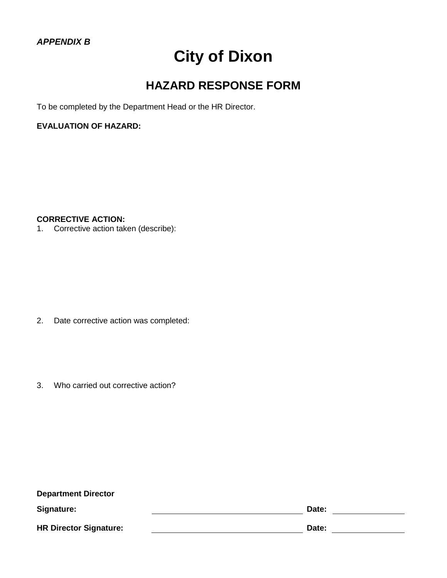## **City of DIXON**

## **POLICY STATEMENT**

<span id="page-2-0"></span>It is the policy of the City of Dixon to provide a safe and healthful environment for our employees and the general public. We strive to eliminate unnecessary hazards by providing specific safety policies and procedures and creating an atmosphere that promotes safety.

The following Injury and Illness Prevention Program (IIPP) has been developed to provide safety and loss control guidelines to protect people from injury or illness, to reduce the risk of loss to real property and business assets and to meet regulatory requirements of federal, state, and local governmental agencies.

i<br>L

*Signature of City Manager Date*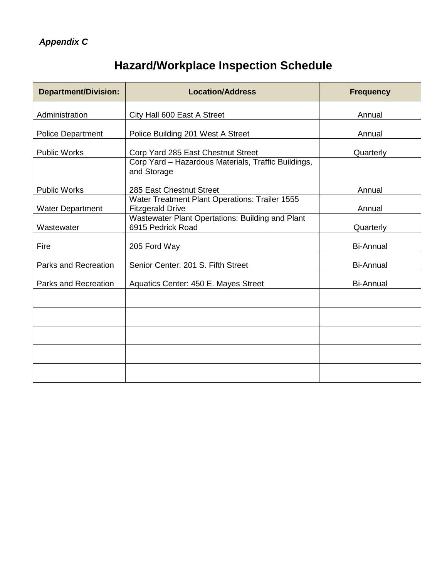## <span id="page-3-0"></span>**INJURY & ILLNESS PREVENTION PROGRAM**

The City of Dixon (City) has established, implemented and is maintaining this written Injury and Illness Prevention Program (IIPP). This program has been established in accordance with Title 8, California Code of Regulations; Section 3203 of the General Industry Safety Orders. Our safety and health program includes the following elements:

- **I.** Management commitment/assignment of responsibilities
- **II.** System for assuring employee compliance with safe work practices
- **III.** Safety communications system with employees
- **IV.** Scheduled inspections/evaluation system
- **V.** Accident investigation
- **VI.** Procedures for correcting unsafe/unhealthy conditions
- **VII.** Safety and health training and instruction
- **VIII.** Recordkeeping and documentation.

Our commitment to safety and health begins with the complete support of the City and City Manager. We are committed to controlling work-place hazards and correcting hazardous conditions or practices as they occur or are recognized.

This commitment is backed by strong organizational policies, procedures, incentives, and disciplinary actions as necessary to ensure employee compliance with safe and healthful work practices.

#### <span id="page-3-1"></span>**I. AUTHORITY/RESPONSIBILITY**

We recognize that the responsibility for safety and health is shared by everyone. The following have assigned authority/responsibility as follows:

#### **City Manager:**

The City Manager, or designee, has the responsibility to:

- ‐ Review, approve and adopt and implement the IIPP
- ‐ As necessary, designate staff to implement the safety program and provisions of the IIPP.
- Monitor the effectiveness of the IIPP and safety policies and procedures.
- ‐ Provide direction to all City Department Heads and managers and designated Safety Officers regarding the IIPP.
- ‐ Act as liaison between the City Council and Department Heads and managers.
- ‐ Recommend allocation of finances, material and personnel to support the IIPP and safety program.
- ‐ Review department budgets for allocation of funds to safety and loss control.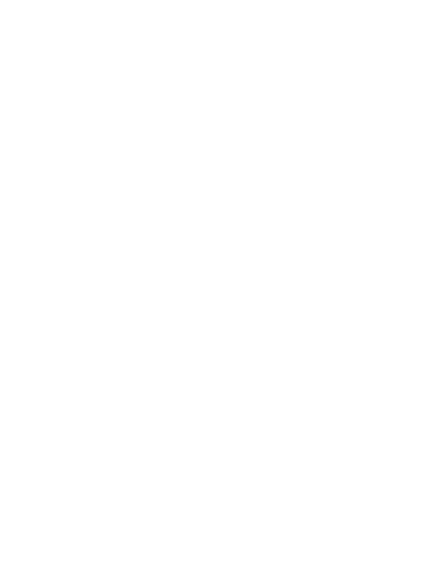- ‐ Review accident investigation reports and provide direction in making the necessary recommendations.
- ‐ Establish accountability procedures for compliance with IIPP and safety policies and procedures.
- ‐ Review safety and loss control activities.
- ‐ Review, approve and sign the IIPP.

#### **IIPP Administrator:**

The Human Resources Director/designee shall serve as the IIPP Administrator. The role of the appointed IIPP Administrator is to assist in the development, implementation and maintenance of the IIPP. The IIPP Administrator responsibilities include, but are not limited to, the following:

- ‐ Ensure health and safety policies and procedures are clearly communicated to Department Heads, Deputy Directors, Managers, Supervisors, and other staff.
- ‐ Monitor the effectiveness of the departmental safety programs and make recommendations for change as needed.
- ‐ Coordinate with Department Heads, Deputy Directors, Managers or Supervisors for training and development of a process or method to provide training for employees.
- ‐ Ensure procedures are in place so accident investigations are initiated in a timely manner and actively participate in the investigation when needed.
- ‐ Evaluate effectiveness of policies and procedures on a regular basis and recommend revisions and updates as necessary.
- ‐ Ensure employees are informed of their responsibility for the IIPP.
- ‐ Actively contribute to the success of the overall safety program by providing ideas and suggestions to help prevent accidents and injuries.

#### **Department Heads:**

The Department Heads/designees responsibilities include, but are not limited to, the following:

- ‐ Maintain safety policies, programs and conditions within their respective departments.
- ‐ Ensure safe and healthful workplace practices and compliance with the IIPP and safety policies and procedures.
- Develop departmental specific safety guidelines, with assistance from the IIPP Administer.
- Participate in conducting accident investigations within their department as needed.
- ‐ Assist in the development and management of department safety programs, policies and procedures.
- ‐ Encourage employees to report unsafe conditions with assurance that action will be taken without fear of reprisal.
- ‐ Receive, forward or act on as appropriate on safety related concerns/complaints.
- ‐ Recognize safety performance or services on annual performance review.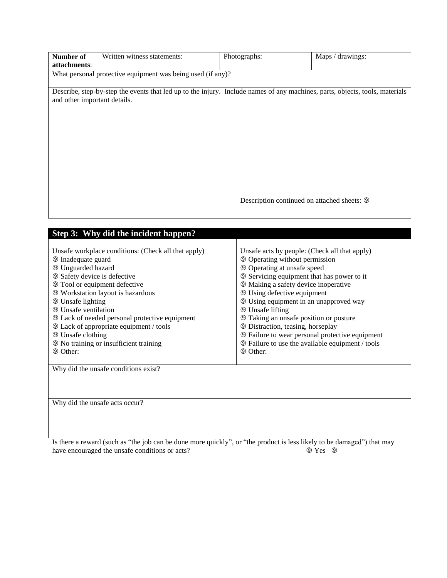- ‐ Recommend training and retraining regarding safety policies and procedures.
- ‐ Ensure employees are informed of their responsibility on the IIPP.
- ‐ Actively contribute to the success of the overall safety program by providing ideas and suggestions to help prevent accidents and injuries.

#### **Department Deputy Directors/Managers/Supervisors:**

The Managers and Supervisors/designees responsibilities include, but are not limited to, the following:

- ‐ Ensure safety procedures are implemented and followed within their department.
- ‐ Conduct appropriate safety orientation and training, including department specific procedures.
- ‐ Conduct accident investigations immediately upon notification of an illness or injury.
- ‐ Complete workers' compensation claim forms.
- ‐ Ensure safety inspections of the work areas are performed.
- ‐ Ensure safety policies and procedures are clearly communicated, understood and followed by all personnel.
- ‐ Correct or mitigate unsafe conditions and practices.
- ‐ Ensure all material and equipment is maintained in good operating condition.
- ‐ Provide necessary personal protective equipment and train personnel on how to use it properly.
- ‐ Address and report safety-related issues and activities on employee's annual performance evaluation.
- ‐ Take appropriate action, including training and discipline, associated with failure to comply with safe and healthful work practices.
- ‐ Encourage employees to report unsafe conditions with assurance that action will be taken without fear of reprisal.
- ‐ Actively contribute to the success of the overall safety program by providing ideas and suggestions to help prevent accidents and injuries.

#### **Employees:**

The employee's responsibilities include, but are not limited to, the following:

- ‐ Follow all written and verbal safety policies, procedures and directives.
- ‐ Report all work-related injuries immediately to their supervisor, regardless of the severity.
- ‐ Perform their duties using safe work practices.
- Report unsafe conditions, work practices or hazards and equipment failures immediately to their supervisor.
- ‐ Actively contribute to the success of the overall safety program by providing ideas and suggestions to help prevent accidents and injuries.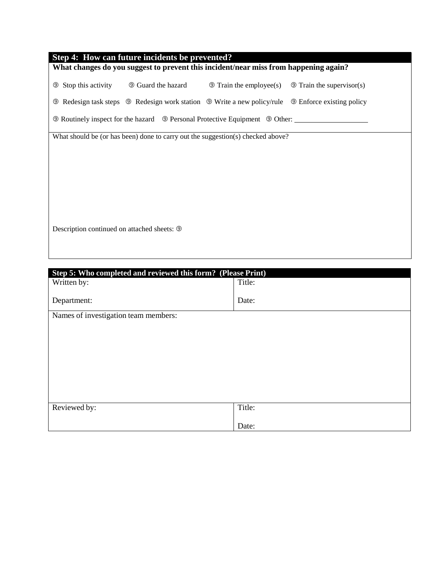#### <span id="page-6-0"></span>**II. COMPLIANCE**

The systems of ensuring employees comply with safe work practices and procedures include the following:

- Informing employees of the provisions of our IIPP in a readily understandable language.
- Evaluating the safety performance of all employees.
- Recognizing employees who perform safe and healthful work practices.
- Providing training to employees whose safety performance is deficient.
- Disciplining employees (in accordance with the Personnel Rules and Regulations and/or the applicable Memorandum of Understanding) for failure to comply with safe and healthful work practices.

#### <span id="page-6-1"></span>**III.COMMUNICATION**

The City recognizes that open, two-way communication between management, labor organizations and staff on health and safety issues is essential for an injury-free, productive workplace. As such, the following systems of communication are used to facilitate a continuous flow of safety and health information between management and staff in a form that is readily understandable:

#### **Safety Committee Meetings:**

The Safety Committee meetings may be used to help facilitate safety issues and concerns. Meetings will be held at least quarterly. During these meetings safety topics will be freely and openly discussed on such issues as:

- ‐ New hazards that have been introduced or discovered in the workplace.
- Causes of recent accidents or injuries and the methods adopted to prevent similar incidents in the future.
- ‐ Any health or safety issue deemed necessary to require reinforcement and/or training.
- ‐ Solicit feedback on the development of new safety policies and procedures.
- ‐ Solicit feedback for developing annual training calendar.

#### **Anonymous Notification Procedures:**

Employees are requested and encouraged to report workplace hazards immediately to their manager or supervisor at any time without fear of reprisal. However, should an employee wish to report a hazard anonymously, they can do so in the following manner:

- A system of anonymous notification whereby employees who wish to inform the City of workplace hazards may do so anonymously by sending a written notification to the Department Head, HR Director or City Manager by using the Hazard Alert Form, Appendix A.
- ‐ A Safety Box is located at City Hall work room or employees can send an email to safetybox@cityofdixon.us.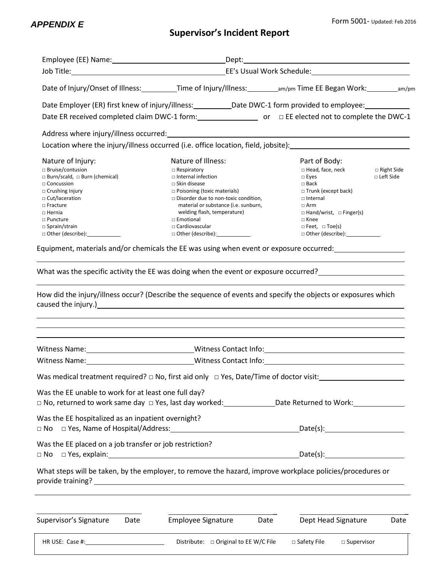The Department Head or HR Director shall address notifications in a prompt and thorough manner.

**Postings:** 

A bulletin board that is accessible to employees will be used and located in each department and/or building to post safety-related information. The bulletin board may include, but is not limited to, the following items:

- Names and phone numbers of emergency contacts
- ‐ Designated routes and "safe areas" for emergency evacuations
- ‐ Complete set of required employee posters
- ‐ Blank Hazard Alert form, Appendix A

#### **Additional Notifications:**

Management may also communicate safety to employees in the following manner:

- Daily briefings
- ‐ Email alerts
- ‐ Tailgate meetings
- ‐ Safety bulletins
- ‐ Safety stand downs

#### <span id="page-7-0"></span>**IV.HAZARD ASSESSMENT**

Periodic inspections provide a method of identifying existing or potential workplace hazards, and eliminating or controlling them. These inspections are performed in the following manner:

- Departments will conduct and document a regularly scheduled hazard inspection as outlined in the Hazard/Workplace Inspection Schedule, Appendix C.
- Inspections will be performed by a qualified person.
- The Department Head will arrange for an inspection and investigation when new substances, processes, procedures or equipment that present potential new hazards are introduced into the workplace, or whenever a new or previously unrecognized hazard is identified..
- Employees will be encouraged to report possible hazardous situations, knowing their reporting will be given prompt and serious attention without fear of reprisal.
- It is the intent of the City to abate or mitigate any hazard which gives rise to a risk of imminent harm to any person.

#### <span id="page-7-1"></span>**V. ACCIDENT/EXPOSURE INVESTIGATIONS**

A thorough investigation of all accidents will help identify causes and effective corrective actions that can help prevent similar incidents from reoccurring. Such information is critical to preventing and controlling hazards and potential accidents. All reportable injuries or illnesses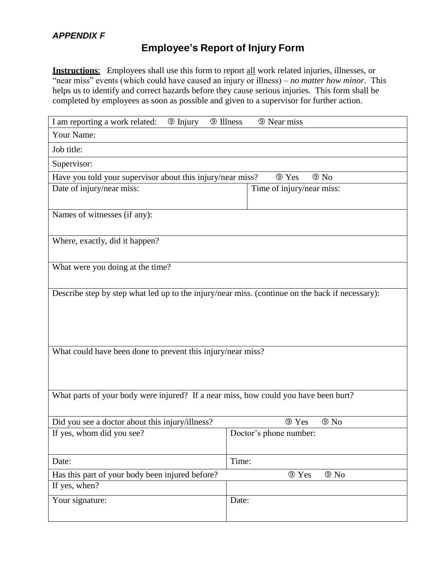must be recorded within seven (7) calendar days after learning of the occurrence on the OSHA 300 log.

Procedures for investigating workplace accidents and hazardous substance exposure should be performed in a timely manner by the Department Head. Required forms include the Incident Investigation Report, Appendix D, Supervisor's Incident Report Form, Appendix E, the Employee's Report of Injury Form, Appendix F and the Witness Statement Form, Appendix G.

The investigation should include:

- Notifying the HR Director/designee and Department Head.
- Visiting the accident scene as soon as possible.
- Interviewing injured employees and witnesses.
- Examining the workplace for factors associated with the accident/exposure.
- Determining the cause(s) of the accident/exposure.
- Reviewing results of the accident investigation and recommending corrective actions to the HR Director and Department Head.
- Employees should complete their version of the incident by completing the Employee' Report of Injury Form.
- Witnesses to an incident should complete the Witness Statement Form.

Serious employee injuries, illnesses or fatalities will also be reported to the Cal/OSHA Sacramento Division Office within eight (8) hours of knowledge. The District Office can be contacted at: 2424 Arden Way, Suite 24, Sacramento, CA 95825 or (916) 263-2800.

A serious injury or illness is defined as:

- Any hospitalization, regardless of length of time, for other than medical observation or diagnostic testing
- Amputation
- Serious degree of permanent disfigurement (e.g., crushing or severe burn type injuries)
- Whenever a state, county, or local fire or police agency is called to an accident scene involving an employee in which a serious injury, or illness, or death occurs.

Accident Investigation Reports will be forwarded to the Department Head and HR Director for possible further review. Refer to Appendix H to review the Accident Review and Investigation Policy.

#### <span id="page-8-0"></span>**VI. HAZARD CORRECTION**

When unsafe or unhealthy work conditions, practices, or procedures are observed or discovered, they will be corrected in a timely manner based on the severity of the hazards.

When an imminent hazard exists that cannot be immediately corrected, the exposed employees shall be removed from the immediate hazard, except those needed to correct the condition and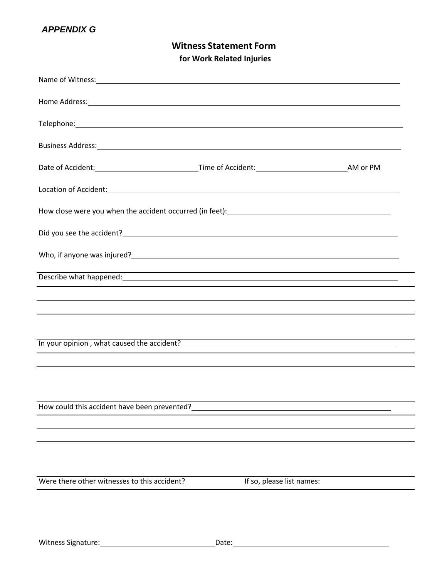to address security issues. Employees who are required to correct the hazardous condition will be provided with the necessary protection.

Hazards shall be corrected according to the following procedures:

- Employees may be advised of the hazard by the posting of the Hazard Response Form, Appendix B, on the Department's Bulletin Board. Information may also be communicated verbally at staff meetings, or other appropriate means.
- All such actions taken and dates they are completed shall be documented on the Hazard Response Form, Appendix B.
- Completed forms will be maintained by the Department Head.

#### <span id="page-9-0"></span>**VII. SAFETY & HEALTH TRAINING**

Training is one of the most important elements of any safety program. It allows employees to learn how to perform their jobs safely, brings new ideas into the workplace, reinforces existing ideas and practices, and puts the program into action. All employees, including management, shall receive training and instruction on general and department, job-specific safety and health practices. Training and instruction shall be provided as follows:

- When the IIPP is first established, or substantively amended.
- For all new employees at new-hire orientation.
- When employees are given a new job assignment for which training has not previously been provided.
- Whenever new substances, processes, procedures or equipment are introduced to the workplace and represent a new hazard.
- When staff is made aware of a new or previously unrecognized hazard.
- For all employees with respect to hazards specific to each employee's job assignment.
- When a new facility or a new component of the facility is opened.
- In addition, specific instructions will be provided to all employees regarding hazards unique to their job assignment, to the extent that such information was not covered in other training.

#### <span id="page-9-1"></span>**VIII. RECORDKEEPING & DOCUMENTATION**

The City will implement and maintain IIPP in the following manner:

- Maintain records of hazard assessment inspections, including the person(s) conducting the inspection, unsafe conditions and work practices that have been identified and the action taken to correct the identified unsafe conditions and work practices.
- Document safety and health training for each worker; including the worker's name or other identifier, training dates, type(s) of training, and training providers.
- Maintain accident investigation reports.
- Document the annual program reviews.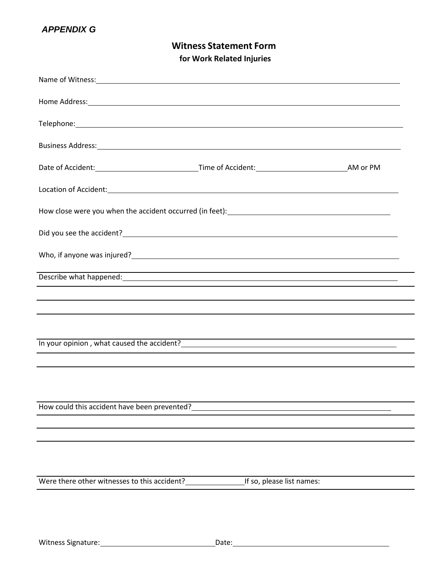Inspection records and training documentation will be maintained for a minimum of three (3) years, or as specified in the City's records retention guidelines policy.

OSHA 300 and 300A Logs will be maintained for at least five (5) years, or longer as specified in the City's records retention guidelines policy.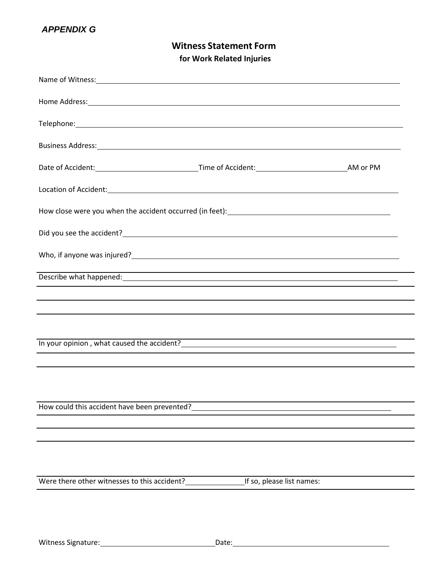#### *APPENDIX A*

| <b>City of Dixon</b><br><b>Hazard Alert Form</b>                                                                                                                                                                                          |  |  |  |  |
|-------------------------------------------------------------------------------------------------------------------------------------------------------------------------------------------------------------------------------------------|--|--|--|--|
|                                                                                                                                                                                                                                           |  |  |  |  |
| Supervisor:                                                                                                                                                                                                                               |  |  |  |  |
| Hazards posing an immediate danger to life and health should be reported as soon as possible to your<br>Supervisor, Manager, Department Head or HR Director.                                                                              |  |  |  |  |
| Location of Hazard (i.e., building, room, other description):                                                                                                                                                                             |  |  |  |  |
| Description of Hazard (include whether it is chemical, biological, physical, etc.):                                                                                                                                                       |  |  |  |  |
| Recommendation for Correction (if known):                                                                                                                                                                                                 |  |  |  |  |
| Has this hazard been reported to your supervisor? Yes _____ No                                                                                                                                                                            |  |  |  |  |
| OPTIONAL (if you would like to remain anonymous, leave this area blank):                                                                                                                                                                  |  |  |  |  |
|                                                                                                                                                                                                                                           |  |  |  |  |
|                                                                                                                                                                                                                                           |  |  |  |  |
|                                                                                                                                                                                                                                           |  |  |  |  |
| NOTE: It is illegal for any employer to take action against employees who exercises their right under the<br>law to report unsafe conditions. We encourage our employees to report hazards and commend them for<br>their safety awareness |  |  |  |  |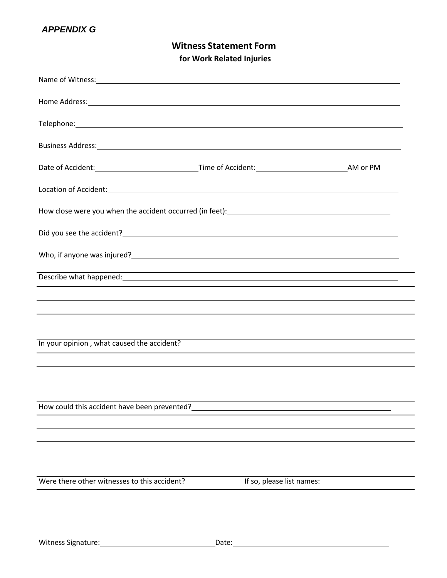#### *APPENDIX B*

## **City of Dixon**

### **HAZARD RESPONSE FORM**

To be completed by the Department Head or the HR Director.

**EVALUATION OF HAZARD:**

**CORRECTIVE ACTION:**

1. Corrective action taken (describe):

2. Date corrective action was completed:

3. Who carried out corrective action?

| <b>Department Director</b>    |       |  |  |  |  |  |
|-------------------------------|-------|--|--|--|--|--|
| Signature:                    | Date: |  |  |  |  |  |
| <b>HR Director Signature:</b> | Date: |  |  |  |  |  |
|                               |       |  |  |  |  |  |